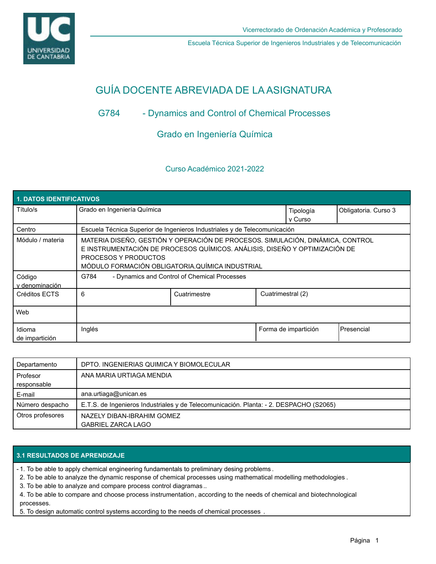

Escuela Técnica Superior de Ingenieros Industriales y de Telecomunicación

# GUÍA DOCENTE ABREVIADA DE LA ASIGNATURA

# G784 - Dynamics and Control of Chemical Processes

# Grado en Ingeniería Química

## Curso Académico 2021-2022

| <b>1. DATOS IDENTIFICATIVOS</b> |                                                                                                                                                                                                                                         |              |                   |                      |                      |  |  |  |  |
|---------------------------------|-----------------------------------------------------------------------------------------------------------------------------------------------------------------------------------------------------------------------------------------|--------------|-------------------|----------------------|----------------------|--|--|--|--|
| Título/s                        | Grado en Ingeniería Química                                                                                                                                                                                                             |              |                   | Tipología<br>v Curso | Obligatoria. Curso 3 |  |  |  |  |
| Centro                          | Escuela Técnica Superior de Ingenieros Industriales y de Telecomunicación                                                                                                                                                               |              |                   |                      |                      |  |  |  |  |
| Módulo / materia                | MATERIA DISEÑO, GESTIÓN Y OPERACIÓN DE PROCESOS. SIMULACIÓN, DINÁMICA, CONTROL<br>E INSTRUMENTACIÓN DE PROCESOS QUÍMICOS. ANÁLISIS, DISEÑO Y OPTIMIZACIÓN DE<br>PROCESOS Y PRODUCTOS<br>MÓDULO FORMACIÓN OBLIGATORIA.QUÍMICA INDUSTRIAL |              |                   |                      |                      |  |  |  |  |
| Código<br>v denominación        | G784<br>- Dynamics and Control of Chemical Processes                                                                                                                                                                                    |              |                   |                      |                      |  |  |  |  |
| Créditos ECTS                   | 6                                                                                                                                                                                                                                       | Cuatrimestre | Cuatrimestral (2) |                      |                      |  |  |  |  |
| Web                             |                                                                                                                                                                                                                                         |              |                   |                      |                      |  |  |  |  |
| Idioma<br>de impartición        | Inglés                                                                                                                                                                                                                                  |              |                   | Forma de impartición | <b>IPresencial</b>   |  |  |  |  |

| Departamento     | DPTO. INGENIERIAS QUIMICA Y BIOMOLECULAR                                               |
|------------------|----------------------------------------------------------------------------------------|
| Profesor         | ANA MARIA URTIAGA MENDIA                                                               |
| responsable      |                                                                                        |
| E-mail           | ana.urtiaga@unican.es                                                                  |
| Número despacho  | E.T.S. de Ingenieros Industriales y de Telecomunicación. Planta: - 2. DESPACHO (S2065) |
| Otros profesores | NAZELY DIBAN-IBRAHIM GOMEZ                                                             |
|                  | <b>GABRIEL ZARCA LAGO</b>                                                              |

### **3.1 RESULTADOS DE APRENDIZAJE**

- 1. To be able to apply chemical engineering fundamentals to preliminary desing problems .

2. To be able to analyze the dynamic response of chemical processes using mathematical modelling methodologies .

3. To be able to analyze and compare process control diagramas ..

4. To be able to compare and choose process instrumentation, according to the needs of chemical and biotechnological processes.

5. To design automatic control systems according to the needs of chemical processes .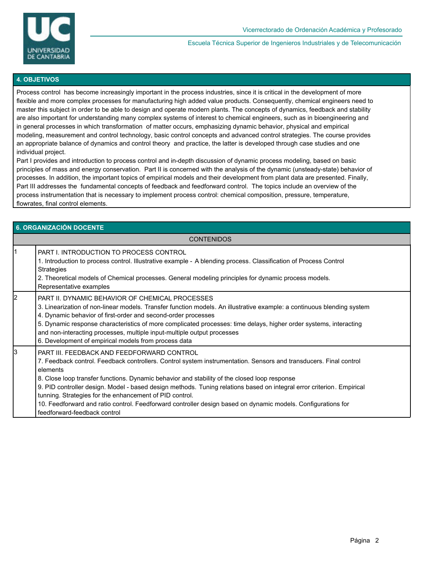

Escuela Técnica Superior de Ingenieros Industriales y de Telecomunicación

#### **4. OBJETIVOS**

Process control has become increasingly important in the process industries, since it is critical in the development of more flexible and more complex processes for manufacturing high added value products. Consequently, chemical engineers need to master this subject in order to be able to design and operate modern plants. The concepts of dynamics, feedback and stability are also important for understanding many complex systems of interest to chemical engineers, such as in bioengineering and in general processes in which transformation of matter occurs, emphasizing dynamic behavior, physical and empirical modeling, measurement and control technology, basic control concepts and advanced control strategies. The course provides an appropriate balance of dynamics and control theory and practice, the latter is developed through case studies and one individual project.

Part I provides and introduction to process control and in-depth discussion of dynamic process modeling, based on basic principles of mass and energy conservation. Part II is concerned with the analysis of the dynamic (unsteady-state) behavior of processes. In addition, the important topics of empirical models and their development from plant data are presented. Finally, Part III addresses the fundamental concepts of feedback and feedforward control. The topics include an overview of the process instrumentation that is necessary to implement process control: chemical composition, pressure, temperature, flowrates, final control elements.

| 6. ORGANIZACIÓN DOCENTE |                                                                                                                                                                                                                                                                                                                                                                                                                                                                                                                                                                                                                 |  |  |  |  |
|-------------------------|-----------------------------------------------------------------------------------------------------------------------------------------------------------------------------------------------------------------------------------------------------------------------------------------------------------------------------------------------------------------------------------------------------------------------------------------------------------------------------------------------------------------------------------------------------------------------------------------------------------------|--|--|--|--|
| <b>CONTENIDOS</b>       |                                                                                                                                                                                                                                                                                                                                                                                                                                                                                                                                                                                                                 |  |  |  |  |
|                         | <b>PART I. INTRODUCTION TO PROCESS CONTROL</b><br>1. Introduction to process control. Illustrative example - A blending process. Classification of Process Control<br><b>Strategies</b><br>2. Theoretical models of Chemical processes. General modeling principles for dynamic process models.<br>Representative examples                                                                                                                                                                                                                                                                                      |  |  |  |  |
| 2                       | PART II. DYNAMIC BEHAVIOR OF CHEMICAL PROCESSES<br>3. Linearization of non-linear models. Transfer function models. An illustrative example: a continuous blending system<br>4. Dynamic behavior of first-order and second-order processes<br>5. Dynamic response characteristics of more complicated processes: time delays, higher order systems, interacting<br>and non-interacting processes, multiple input-multiple output processes<br>6. Development of empirical models from process data                                                                                                              |  |  |  |  |
| 3                       | PART III. FEEDBACK AND FEEDFORWARD CONTROL<br>7. Feedback control. Feedback controllers. Control system instrumentation. Sensors and transducers. Final control<br>elements<br>8. Close loop transfer functions. Dynamic behavior and stability of the closed loop response<br>9. PID controller design. Model - based design methods. Tuning relations based on integral error criterion. Empirical<br>tunning. Strategies for the enhancement of PID control.<br>10. Feedforward and ratio control. Feedforward controller design based on dynamic models. Configurations for<br>feedforward-feedback control |  |  |  |  |